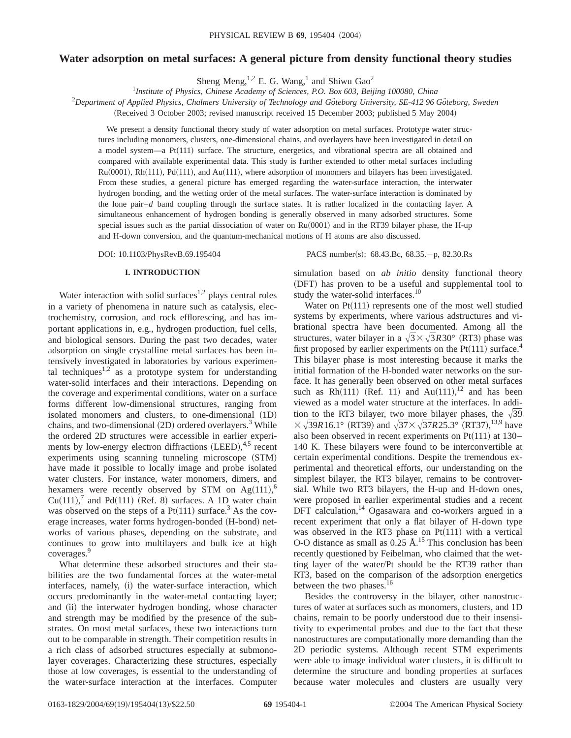# **Water adsorption on metal surfaces: A general picture from density functional theory studies**

Sheng Meng,  $^{1,2}$  E. G. Wang,<sup>1</sup> and Shiwu Gao<sup>2</sup>

1 *Institute of Physics, Chinese Academy of Sciences, P.O. Box 603, Beijing 100080, China* <sup>2</sup>Department of Applied Physics, Chalmers University of Technology and Göteborg University, SE-412 96 Göteborg, Sweden

(Received 3 October 2003; revised manuscript received 15 December 2003; published 5 May 2004)

We present a density functional theory study of water adsorption on metal surfaces. Prototype water structures including monomers, clusters, one-dimensional chains, and overlayers have been investigated in detail on a model system—a Pt(111) surface. The structure, energetics, and vibrational spectra are all obtained and compared with available experimental data. This study is further extended to other metal surfaces including  $Ru(0001)$ ,  $Rh(111)$ ,  $Pd(111)$ , and  $Au(111)$ , where adsorption of monomers and bilayers has been investigated. From these studies, a general picture has emerged regarding the water-surface interaction, the interwater hydrogen bonding, and the wetting order of the metal surfaces. The water-surface interaction is dominated by the lone pair–*d* band coupling through the surface states. It is rather localized in the contacting layer. A simultaneous enhancement of hydrogen bonding is generally observed in many adsorbed structures. Some special issues such as the partial dissociation of water on  $Ru(0001)$  and in the RT39 bilayer phase, the H-up and H-down conversion, and the quantum-mechanical motions of H atoms are also discussed.

# **I. INTRODUCTION**

Water interaction with solid surfaces<sup>1,2</sup> plays central roles in a variety of phenomena in nature such as catalysis, electrochemistry, corrosion, and rock efflorescing, and has important applications in, e.g., hydrogen production, fuel cells, and biological sensors. During the past two decades, water adsorption on single crystalline metal surfaces has been intensively investigated in laboratories by various experimental techniques<sup>1,2</sup> as a prototype system for understanding water-solid interfaces and their interactions. Depending on the coverage and experimental conditions, water on a surface forms different low-dimensional structures, ranging from isolated monomers and clusters, to one-dimensional  $(1D)$ chains, and two-dimensional  $(2D)$  ordered overlayers.<sup>3</sup> While the ordered 2D structures were accessible in earlier experiments by low-energy electron diffractions (LEED),<sup>4,5</sup> recent  $experiments$  using scanning tunneling microscope  $(STM)$ have made it possible to locally image and probe isolated water clusters. For instance, water monomers, dimers, and hexamers were recently observed by STM on  $Ag(111), ^6$ Cu(111),<sup>7</sup> and Pd(111) (Ref. 8) surfaces. A 1D water chain was observed on the steps of a Pt $(111)$  surface.<sup>3</sup> As the coverage increases, water forms hydrogen-bonded (H-bond) networks of various phases, depending on the substrate, and continues to grow into multilayers and bulk ice at high coverages.<sup>9</sup>

What determine these adsorbed structures and their stabilities are the two fundamental forces at the water-metal interfaces, namely, (i) the water-surface interaction, which occurs predominantly in the water-metal contacting layer; and (ii) the interwater hydrogen bonding, whose character and strength may be modified by the presence of the substrates. On most metal surfaces, these two interactions turn out to be comparable in strength. Their competition results in a rich class of adsorbed structures especially at submonolayer coverages. Characterizing these structures, especially those at low coverages, is essential to the understanding of the water-surface interaction at the interfaces. Computer

DOI: 10.1103/PhysRevB.69.195404 PACS number(s): 68.43.Bc, 68.35. - p, 82.30.Rs

simulation based on *ab initio* density functional theory (DFT) has proven to be a useful and supplemental tool to study the water-solid interfaces.<sup>10</sup>

Water on  $Pt(111)$  represents one of the most well studied systems by experiments, where various adstructures and vibrational spectra have been documented. Among all the structures, water bilayer in a  $\sqrt{3} \times \sqrt{3}R30^{\circ}$  (RT3) phase was first proposed by earlier experiments on the  $Pt(111)$  surface.<sup>4</sup> This bilayer phase is most interesting because it marks the initial formation of the H-bonded water networks on the surface. It has generally been observed on other metal surfaces such as Rh $(111)$  (Ref. 11) and Au $(111)$ , <sup>12</sup> and has been viewed as a model water structure at the interfaces. In addition to the RT3 bilayer, two more bilayer phases, the  $\sqrt{39}$  $\times \sqrt{39}R16.1^{\circ}$  (RT39) and  $\sqrt{37}\times \sqrt{37}R25.3^{\circ}$  (RT37), <sup>13,9</sup> have also been observed in recent experiments on Pt $(111)$  at 130– 140 K. These bilayers were found to be interconvertible at certain experimental conditions. Despite the tremendous experimental and theoretical efforts, our understanding on the simplest bilayer, the RT3 bilayer, remains to be controversial. While two RT3 bilayers, the H-up and H-down ones, were proposed in earlier experimental studies and a recent DFT calculation,<sup>14</sup> Ogasawara and co-workers argued in a recent experiment that only a flat bilayer of H-down type was observed in the RT3 phase on  $Pt(111)$  with a vertical O-O distance as small as  $0.25$  Å.<sup>15</sup> This conclusion has been recently questioned by Feibelman, who claimed that the wetting layer of the water/Pt should be the RT39 rather than RT3, based on the comparison of the adsorption energetics between the two phases.<sup>16</sup>

Besides the controversy in the bilayer, other nanostructures of water at surfaces such as monomers, clusters, and 1D chains, remain to be poorly understood due to their insensitivity to experimental probes and due to the fact that these nanostructures are computationally more demanding than the 2D periodic systems. Although recent STM experiments were able to image individual water clusters, it is difficult to determine the structure and bonding properties at surfaces because water molecules and clusters are usually very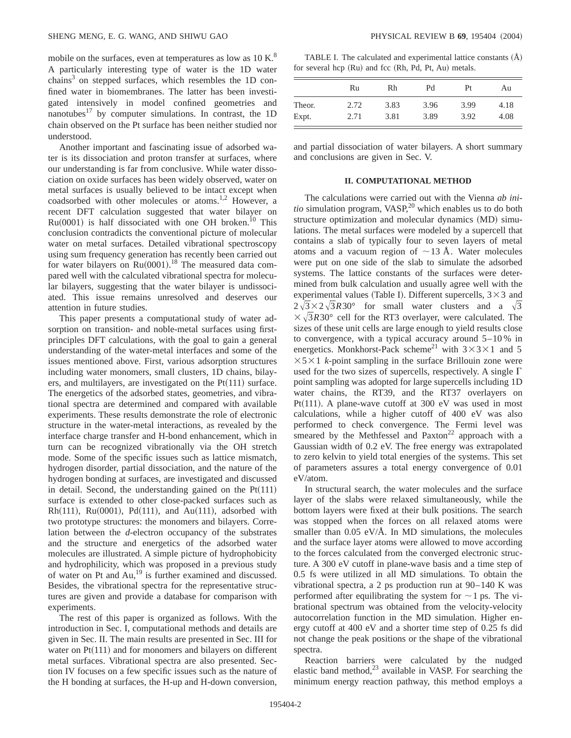mobile on the surfaces, even at temperatures as low as  $10 K<sup>8</sup>$ A particularly interesting type of water is the 1D water chains<sup>3</sup> on stepped surfaces, which resembles the 1D confined water in biomembranes. The latter has been investigated intensively in model confined geometries and nanotubes $17$  by computer simulations. In contrast, the 1D chain observed on the Pt surface has been neither studied nor understood.

Another important and fascinating issue of adsorbed water is its dissociation and proton transfer at surfaces, where our understanding is far from conclusive. While water dissociation on oxide surfaces has been widely observed, water on metal surfaces is usually believed to be intact except when coadsorbed with other molecules or atoms.<sup>1,2</sup> However, a recent DFT calculation suggested that water bilayer on  $Ru(0001)$  is half dissociated with one OH broken.<sup>10</sup> This conclusion contradicts the conventional picture of molecular water on metal surfaces. Detailed vibrational spectroscopy using sum frequency generation has recently been carried out for water bilayers on  $Ru(0001)$ .<sup>18</sup> The measured data compared well with the calculated vibrational spectra for molecular bilayers, suggesting that the water bilayer is undissociated. This issue remains unresolved and deserves our attention in future studies.

This paper presents a computational study of water adsorption on transition- and noble-metal surfaces using firstprinciples DFT calculations, with the goal to gain a general understanding of the water-metal interfaces and some of the issues mentioned above. First, various adsorption structures including water monomers, small clusters, 1D chains, bilayers, and multilayers, are investigated on the  $Pt(111)$  surface. The energetics of the adsorbed states, geometries, and vibrational spectra are determined and compared with available experiments. These results demonstrate the role of electronic structure in the water-metal interactions, as revealed by the interface charge transfer and H-bond enhancement, which in turn can be recognized vibrationally via the OH stretch mode. Some of the specific issues such as lattice mismatch, hydrogen disorder, partial dissociation, and the nature of the hydrogen bonding at surfaces, are investigated and discussed in detail. Second, the understanding gained on the  $Pt(111)$ surface is extended to other close-packed surfaces such as  $Rh(111)$ ,  $Ru(0001)$ ,  $Pd(111)$ , and  $Au(111)$ , adsorbed with two prototype structures: the monomers and bilayers. Correlation between the *d*-electron occupancy of the substrates and the structure and energetics of the adsorbed water molecules are illustrated. A simple picture of hydrophobicity and hydrophilicity, which was proposed in a previous study of water on Pt and Au,<sup>19</sup> is further examined and discussed. Besides, the vibrational spectra for the representative structures are given and provide a database for comparison with experiments.

The rest of this paper is organized as follows. With the introduction in Sec. I, computational methods and details are given in Sec. II. The main results are presented in Sec. III for water on  $Pt(111)$  and for monomers and bilayers on different metal surfaces. Vibrational spectra are also presented. Section IV focuses on a few specific issues such as the nature of the H bonding at surfaces, the H-up and H-down conversion,

TABLE I. The calculated and experimental lattice constants  $(\hat{A})$ for several hcp  $(Ru)$  and fcc  $(Rh, Pd, Pt, Au)$  metals.

|        | Ru   | Rh   | Pd   | Pt   | Au   |
|--------|------|------|------|------|------|
| Theor. | 2.72 | 3.83 | 3.96 | 3.99 | 4.18 |
| Expt.  | 2.71 | 3.81 | 3.89 | 3.92 | 4.08 |

and partial dissociation of water bilayers. A short summary and conclusions are given in Sec. V.

#### **II. COMPUTATIONAL METHOD**

The calculations were carried out with the Vienna *ab initio* simulation program,  $VASP<sub>i</sub><sup>20</sup>$  which enables us to do both structure optimization and molecular dynamics (MD) simulations. The metal surfaces were modeled by a supercell that contains a slab of typically four to seven layers of metal atoms and a vacuum region of  $\sim$ 13 Å. Water molecules were put on one side of the slab to simulate the adsorbed systems. The lattice constants of the surfaces were determined from bulk calculation and usually agree well with the experimental values (Table I). Different supercells,  $3\times3$  and  $2\sqrt{3}\times2\sqrt{3}R30$ ° for small water clusters and a  $\sqrt{3}$  $\times \sqrt{3R30^{\circ}}$  cell for the RT3 overlayer, were calculated. The sizes of these unit cells are large enough to yield results close to convergence, with a typical accuracy around 5–10 % in energetics. Monkhorst-Pack scheme<sup>21</sup> with  $3 \times 3 \times 1$  and 5  $\times$  5 $\times$ 1 *k*-point sampling in the surface Brillouin zone were used for the two sizes of supercells, respectively. A single  $\Gamma$ point sampling was adopted for large supercells including 1D water chains, the RT39, and the RT37 overlayers on Pt $(111)$ . A plane-wave cutoff at 300 eV was used in most calculations, while a higher cutoff of 400 eV was also performed to check convergence. The Fermi level was smeared by the Methfessel and Paxton<sup>22</sup> approach with a Gaussian width of 0.2 eV. The free energy was extrapolated to zero kelvin to yield total energies of the systems. This set of parameters assures a total energy convergence of 0.01 eV/atom.

In structural search, the water molecules and the surface layer of the slabs were relaxed simultaneously, while the bottom layers were fixed at their bulk positions. The search was stopped when the forces on all relaxed atoms were smaller than  $0.05$  eV/ $\AA$ . In MD simulations, the molecules and the surface layer atoms were allowed to move according to the forces calculated from the converged electronic structure. A 300 eV cutoff in plane-wave basis and a time step of 0.5 fs were utilized in all MD simulations. To obtain the vibrational spectra, a 2 ps production run at 90–140 K was performed after equilibrating the system for  $\sim$  1 ps. The vibrational spectrum was obtained from the velocity-velocity autocorrelation function in the MD simulation. Higher energy cutoff at 400 eV and a shorter time step of 0.25 fs did not change the peak positions or the shape of the vibrational spectra.

Reaction barriers were calculated by the nudged elastic band method, $^{23}$  available in VASP. For searching the minimum energy reaction pathway, this method employs a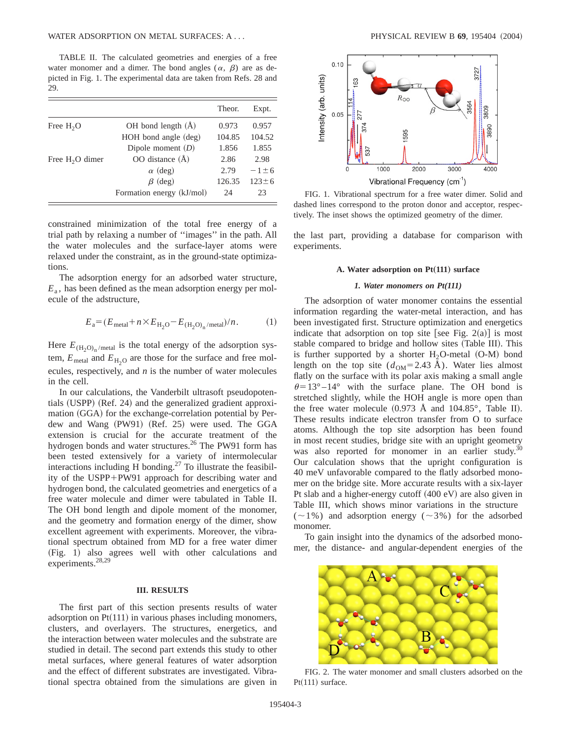TABLE II. The calculated geometries and energies of a free water monomer and a dimer. The bond angles  $(\alpha, \beta)$  are as depicted in Fig. 1. The experimental data are taken from Refs. 28 and 29.

|                  |                           | Theor. | Expt.       |
|------------------|---------------------------|--------|-------------|
| Free $H2O$       | OH bond length $(A)$      | 0.973  | 0.957       |
|                  | HOH bond angle (deg)      | 104.85 | 104.52      |
|                  | Dipole moment $(D)$       | 1.856  | 1.855       |
| Free $H2O$ dimer | OO distance (Å)           | 2.86   | 2.98        |
|                  | $\alpha$ (deg)            | 2.79   | $-1 \pm 6$  |
|                  | $\beta$ (deg)             | 126.35 | $123 \pm 6$ |
|                  | Formation energy (kJ/mol) | 24     | 23          |

constrained minimization of the total free energy of a trial path by relaxing a number of ''images'' in the path. All the water molecules and the surface-layer atoms were relaxed under the constraint, as in the ground-state optimizations.

The adsorption energy for an adsorbed water structure,  $E_a$ , has been defined as the mean adsorption energy per molecule of the adstructure,

$$
E_{\rm a} = (E_{\rm metal} + n \times E_{\rm H_2O} - E_{\rm (H_2O)}_{\rm n/metal})/n. \tag{1}
$$

Here  $E_{(H_2O)_n/metal}$  is the total energy of the adsorption system,  $E_{\text{metal}}$  and  $E_{\text{H}_2\text{O}}$  are those for the surface and free molecules, respectively, and *n* is the number of water molecules in the cell.

In our calculations, the Vanderbilt ultrasoft pseudopotentials  $(USPP)$  (Ref. 24) and the generalized gradient approximation (GGA) for the exchange-correlation potential by Perdew and Wang (PW91) (Ref. 25) were used. The GGA extension is crucial for the accurate treatment of the hydrogen bonds and water structures.<sup>26</sup> The PW91 form has been tested extensively for a variety of intermolecular interactions including H bonding.<sup>27</sup> To illustrate the feasibility of the USPP+PW91 approach for describing water and hydrogen bond, the calculated geometries and energetics of a free water molecule and dimer were tabulated in Table II. The OH bond length and dipole moment of the monomer, and the geometry and formation energy of the dimer, show excellent agreement with experiments. Moreover, the vibrational spectrum obtained from MD for a free water dimer (Fig. 1) also agrees well with other calculations and experiments.<sup>28,29</sup>

# **III. RESULTS**

The first part of this section presents results of water adsorption on  $Pt(111)$  in various phases including monomers, clusters, and overlayers. The structures, energetics, and the interaction between water molecules and the substrate are studied in detail. The second part extends this study to other metal surfaces, where general features of water adsorption and the effect of different substrates are investigated. Vibrational spectra obtained from the simulations are given in



FIG. 1. Vibrational spectrum for a free water dimer. Solid and dashed lines correspond to the proton donor and acceptor, respectively. The inset shows the optimized geometry of the dimer.

the last part, providing a database for comparison with experiments.

### A. Water adsorption on Pt(111) surface

# *1. Water monomers on Pt(111)*

The adsorption of water monomer contains the essential information regarding the water-metal interaction, and has been investigated first. Structure optimization and energetics indicate that adsorption on top site [see Fig. 2(a)] is most stable compared to bridge and hollow sites (Table III). This is further supported by a shorter  $H_2O$ -metal  $(O-M)$  bond length on the top site  $(d_{OM} = 2.43 \text{ Å})$ . Water lies almost flatly on the surface with its polar axis making a small angle  $\theta$ =13° –14° with the surface plane. The OH bond is stretched slightly, while the HOH angle is more open than the free water molecule  $(0.973 \text{ Å}$  and  $104.85^{\circ}$ , Table II). These results indicate electron transfer from O to surface atoms. Although the top site adsorption has been found in most recent studies, bridge site with an upright geometry was also reported for monomer in an earlier study.<sup>3</sup> Our calculation shows that the upright configuration is 40 meV unfavorable compared to the flatly adsorbed monomer on the bridge site. More accurate results with a six-layer Pt slab and a higher-energy cutoff  $(400 \text{ eV})$  are also given in Table III, which shows minor variations in the structure  $(\sim 1\%)$  and adsorption energy ( $\sim 3\%$ ) for the adsorbed monomer.

To gain insight into the dynamics of the adsorbed monomer, the distance- and angular-dependent energies of the



FIG. 2. The water monomer and small clusters adsorbed on the  $Pt(111)$  surface.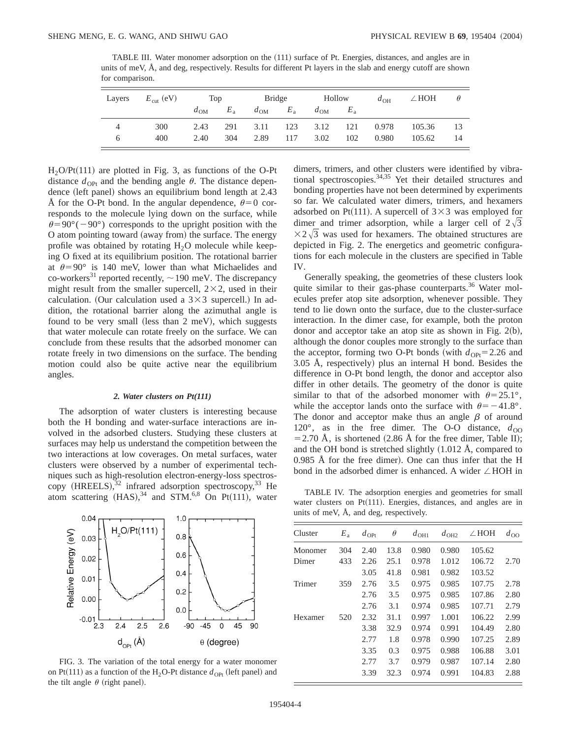TABLE III. Water monomer adsorption on the  $(111)$  surface of Pt. Energies, distances, and angles are in units of meV, Å, and deg, respectively. Results for different Pt layers in the slab and energy cutoff are shown for comparison.

| Layers       | $E_{\text{cut}}$ (eV) | Top            |     | Bridge Hollow              |          |                |     |       | $d_{\text{OH}}$ $\angle$ HOH | $\theta$ |
|--------------|-----------------------|----------------|-----|----------------------------|----------|----------------|-----|-------|------------------------------|----------|
|              |                       | $d_{OM}$ $E_a$ |     | $d_{OM}$ $E_a$             |          | $d_{OM}$ $E_a$ |     |       |                              |          |
| 4            | 300                   |                |     | 2.43 291 3.11 123 3.12 121 |          |                |     | 0.978 | 105.36                       | 13       |
| <sub>6</sub> | 400                   | 2.40           | 304 | 2.89                       | 117 3.02 |                | 102 | 0.980 | 105.62                       | 14       |

 $H<sub>2</sub>O/Pt(111)$  are plotted in Fig. 3, as functions of the O-Pt distance  $d_{\text{OPt}}$  and the bending angle  $\theta$ . The distance dependence (left panel) shows an equilibrium bond length at 2.43 Å for the O-Pt bond. In the angular dependence,  $\theta = 0$  corresponds to the molecule lying down on the surface, while  $\theta$ =90°(-90°) corresponds to the upright position with the O atom pointing toward (away from) the surface. The energy profile was obtained by rotating  $H<sub>2</sub>O$  molecule while keeping O fixed at its equilibrium position. The rotational barrier at  $\theta = 90^{\circ}$  is 140 meV, lower than what Michaelides and co-workers<sup>31</sup> reported recently,  $\sim$  190 meV. The discrepancy might result from the smaller supercell,  $2\times 2$ , used in their calculation. (Our calculation used a  $3\times3$  supercell.) In addition, the rotational barrier along the azimuthal angle is found to be very small (less than  $2 \text{ meV}$ ), which suggests that water molecule can rotate freely on the surface. We can conclude from these results that the adsorbed monomer can rotate freely in two dimensions on the surface. The bending motion could also be quite active near the equilibrium angles.

#### *2. Water clusters on Pt(111)*

The adsorption of water clusters is interesting because both the H bonding and water-surface interactions are involved in the adsorbed clusters. Studying these clusters at surfaces may help us understand the competition between the two interactions at low coverages. On metal surfaces, water clusters were observed by a number of experimental techniques such as high-resolution electron-energy-loss spectroscopy  $(HREELS)$ ,  $32$  infrared adsorption spectroscopy,  $33$  He atom scattering  $(HAS)$ ,<sup>34</sup> and STM.<sup>6,8</sup> On Pt $(111)$ , water



FIG. 3. The variation of the total energy for a water monomer on Pt(111) as a function of the H<sub>2</sub>O-Pt distance  $d_{\text{Opt}}$  (left panel) and the tilt angle  $\theta$  (right panel).

dimers, trimers, and other clusters were identified by vibrational spectroscopies.34,35 Yet their detailed structures and bonding properties have not been determined by experiments so far. We calculated water dimers, trimers, and hexamers adsorbed on Pt(111). A supercell of  $3\times3$  was employed for dimer and trimer adsorption, while a larger cell of  $2\sqrt{3}$  $\times$ 2 $\sqrt{3}$  was used for hexamers. The obtained structures are depicted in Fig. 2. The energetics and geometric configurations for each molecule in the clusters are specified in Table IV.

Generally speaking, the geometries of these clusters look quite similar to their gas-phase counterparts.<sup>36</sup> Water molecules prefer atop site adsorption, whenever possible. They tend to lie down onto the surface, due to the cluster-surface interaction. In the dimer case, for example, both the proton donor and acceptor take an atop site as shown in Fig.  $2(b)$ , although the donor couples more strongly to the surface than the acceptor, forming two O-Pt bonds (with  $d_{\text{OPt}}=2.26$  and  $3.05$  Å, respectively) plus an internal H bond. Besides the difference in O-Pt bond length, the donor and acceptor also differ in other details. The geometry of the donor is quite similar to that of the adsorbed monomer with  $\theta = 25.1^{\circ}$ , while the acceptor lands onto the surface with  $\theta = -41.8^{\circ}$ . The donor and acceptor make thus an angle  $\beta$  of around 120°, as in the free dimer. The O-O distance,  $d_{\text{OO}}$  $=$  2.70 Å, is shortened (2.86 Å for the free dimer, Table II); and the OH bond is stretched slightly  $(1.012 \text{ Å},$  compared to  $0.985$  Å for the free dimer). One can thus infer that the H bond in the adsorbed dimer is enhanced. A wider  $\angle$  HOH in

TABLE IV. The adsorption energies and geometries for small water clusters on Pt $(111)$ . Energies, distances, and angles are in units of meV, Å, and deg, respectively.

| Cluster |             |               | $\theta$ |                  |                  | $\angle$ HOH |              |
|---------|-------------|---------------|----------|------------------|------------------|--------------|--------------|
|         | $E_{\rm a}$ | $d_{\rm OPt}$ |          | $d_{\text{OH1}}$ | $d_{\text{OH2}}$ |              | $d_{\rm OO}$ |
| Monomer | 304         | 2.40          | 13.8     | 0.980            | 0.980            | 105.62       |              |
| Dimer   | 433         | 2.26          | 25.1     | 0.978            | 1.012            | 106.72       | 2.70         |
|         |             | 3.05          | 41.8     | 0.981            | 0.982            | 103.52       |              |
| Trimer  | 359         | 2.76          | 3.5      | 0.975            | 0.985            | 107.75       | 2.78         |
|         |             | 2.76          | 3.5      | 0.975            | 0.985            | 107.86       | 2.80         |
|         |             | 2.76          | 3.1      | 0.974            | 0.985            | 107.71       | 2.79         |
| Hexamer | 520         | 2.32          | 31.1     | 0.997            | 1.001            | 106.22       | 2.99         |
|         |             | 3.38          | 32.9     | 0.974            | 0.991            | 104.49       | 2.80         |
|         |             | 2.77          | 1.8      | 0.978            | 0.990            | 107.25       | 2.89         |
|         |             | 3.35          | 0.3      | 0.975            | 0.988            | 106.88       | 3.01         |
|         |             | 2.77          | 3.7      | 0.979            | 0.987            | 107.14       | 2.80         |
|         |             | 3.39          | 32.3     | 0.974            | 0.991            | 104.83       | 2.88         |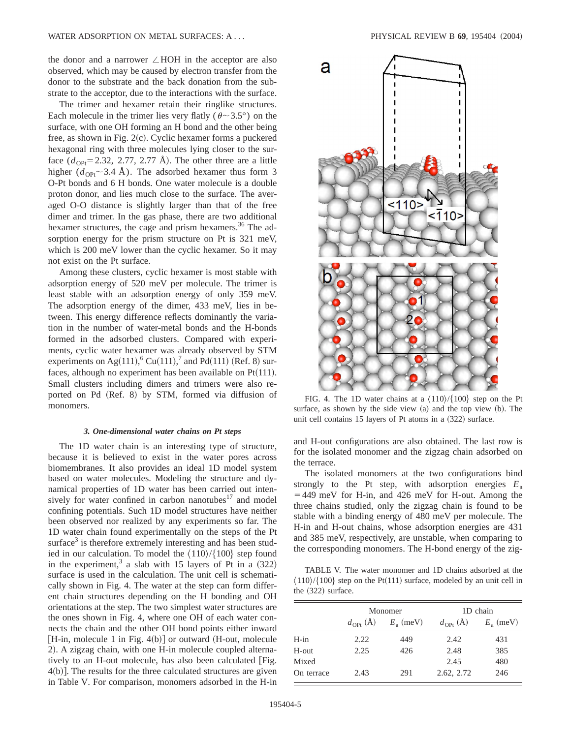the donor and a narrower  $\angle$  HOH in the acceptor are also observed, which may be caused by electron transfer from the donor to the substrate and the back donation from the substrate to the acceptor, due to the interactions with the surface.

The trimer and hexamer retain their ringlike structures. Each molecule in the trimer lies very flatly ( $\theta \sim 3.5^{\circ}$ ) on the surface, with one OH forming an H bond and the other being free, as shown in Fig.  $2(c)$ . Cyclic hexamer forms a puckered hexagonal ring with three molecules lying closer to the surface  $(d_{\text{opt}}=2.32, 2.77, 2.77 \text{ Å})$ . The other three are a little higher ( $d_{\text{opt}}$ ~3.4 Å). The adsorbed hexamer thus form 3 O-Pt bonds and 6 H bonds. One water molecule is a double proton donor, and lies much close to the surface. The averaged O-O distance is slightly larger than that of the free dimer and trimer. In the gas phase, there are two additional hexamer structures, the cage and prism hexamers.<sup>36</sup> The adsorption energy for the prism structure on Pt is 321 meV, which is 200 meV lower than the cyclic hexamer. So it may not exist on the Pt surface.

Among these clusters, cyclic hexamer is most stable with adsorption energy of 520 meV per molecule. The trimer is least stable with an adsorption energy of only 359 meV. The adsorption energy of the dimer, 433 meV, lies in between. This energy difference reflects dominantly the variation in the number of water-metal bonds and the H-bonds formed in the adsorbed clusters. Compared with experiments, cyclic water hexamer was already observed by STM experiments on Ag $(111)$ ,  $^{6}$  Cu $(111)$ ,  $^{7}$  and Pd $(111)$  (Ref. 8) surfaces, although no experiment has been available on  $Pt(111)$ . Small clusters including dimers and trimers were also reported on Pd (Ref. 8) by STM, formed via diffusion of monomers.

### *3. One-dimensional water chains on Pt steps*

The 1D water chain is an interesting type of structure, because it is believed to exist in the water pores across biomembranes. It also provides an ideal 1D model system based on water molecules. Modeling the structure and dynamical properties of 1D water has been carried out intensively for water confined in carbon nanotubes $17$  and model confining potentials. Such 1D model structures have neither been observed nor realized by any experiments so far. The 1D water chain found experimentally on the steps of the Pt surface<sup>3</sup> is therefore extremely interesting and has been studied in our calculation. To model the  $\langle 110 \rangle / \{100\}$  step found in the experiment,<sup>3</sup> a slab with 15 layers of Pt in a  $(322)$ surface is used in the calculation. The unit cell is schematically shown in Fig. 4. The water at the step can form different chain structures depending on the H bonding and OH orientations at the step. The two simplest water structures are the ones shown in Fig. 4, where one OH of each water connects the chain and the other OH bond points either inward [H-in, molecule 1 in Fig. 4(b)] or outward (H-out, molecule 2). A zigzag chain, with one H-in molecule coupled alternatively to an H-out molecule, has also been calculated [Fig.  $4(b)$ ]. The results for the three calculated structures are given in Table V. For comparison, monomers adsorbed in the H-in



FIG. 4. The 1D water chains at a  $\langle 110 \rangle / \langle 100 \rangle$  step on the Pt surface, as shown by the side view  $(a)$  and the top view  $(b)$ . The unit cell contains  $15$  layers of Pt atoms in a  $(322)$  surface.

and H-out configurations are also obtained. The last row is for the isolated monomer and the zigzag chain adsorbed on the terrace.

The isolated monomers at the two configurations bind strongly to the Pt step, with adsorption energies  $E_a$  $=$  449 meV for H-in, and 426 meV for H-out. Among the three chains studied, only the zigzag chain is found to be stable with a binding energy of 480 meV per molecule. The H-in and H-out chains, whose adsorption energies are 431 and 385 meV, respectively, are unstable, when comparing to the corresponding monomers. The H-bond energy of the zig-

TABLE V. The water monomer and 1D chains adsorbed at the  $\langle 110 \rangle / \{100\}$  step on the Pt $(111)$  surface, modeled by an unit cell in the  $(322)$  surface.

|            |                            | Monomer     | 1D chain                   |             |  |  |
|------------|----------------------------|-------------|----------------------------|-------------|--|--|
|            | $d_{\text{opt}}(\text{Å})$ | $E_a$ (meV) | $d_{\text{opt}}(\text{Å})$ | $E_a$ (meV) |  |  |
| $H-in$     | 2.22                       | 449         | 2.42                       | 431         |  |  |
| H-out      | 2.25                       | 426         | 2.48                       | 385         |  |  |
| Mixed      |                            |             | 2.45                       | 480         |  |  |
| On terrace | 2.43                       | 291         | 2.62, 2.72                 | 246         |  |  |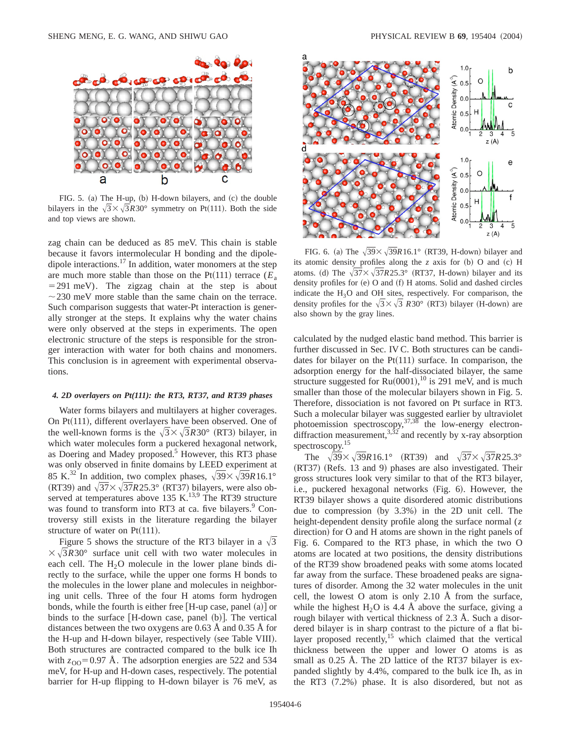

FIG. 5. (a) The H-up,  $(b)$  H-down bilayers, and  $(c)$  the double bilayers in the  $\sqrt{3} \times \sqrt{3}R30^\circ$  symmetry on Pt(111). Both the side and top views are shown.

zag chain can be deduced as 85 meV. This chain is stable because it favors intermolecular H bonding and the dipoledipole interactions.<sup>17</sup> In addition, water monomers at the step are much more stable than those on the Pt(111) terrace ( $E_a$  $=291$  meV). The zigzag chain at the step is about  $\sim$  230 meV more stable than the same chain on the terrace. Such comparison suggests that water-Pt interaction is generally stronger at the steps. It explains why the water chains were only observed at the steps in experiments. The open electronic structure of the steps is responsible for the stronger interaction with water for both chains and monomers. This conclusion is in agreement with experimental observations.

### *4. 2D overlayers on Pt(111): the RT3, RT37, and RT39 phases*

Water forms bilayers and multilayers at higher coverages. On  $Pt(111)$ , different overlayers have been observed. One of the well-known forms is the  $\sqrt{3} \times \sqrt{3}R30$ ° (RT3) bilayer, in which water molecules form a puckered hexagonal network, as Doering and Madey proposed.<sup>5</sup> However, this RT3 phase was only observed in finite domains by LEED experiment at 85 K.<sup>32</sup> In addition, two complex phases,  $\sqrt{39} \times \sqrt{39}R16.1^\circ$ (RT39) and  $\sqrt{37} \times \sqrt{37}R25.3^\circ$  (RT37) bilayers, were also observed at temperatures above 135 K.<sup>13,9</sup> The RT39 structure was found to transform into RT3 at ca. five bilayers.<sup>9</sup> Controversy still exists in the literature regarding the bilayer structure of water on  $Pt(111)$ .

Figure 5 shows the structure of the RT3 bilayer in a  $\sqrt{3}$  $\times \sqrt{3R30^{\circ}}$  surface unit cell with two water molecules in each cell. The  $H<sub>2</sub>O$  molecule in the lower plane binds directly to the surface, while the upper one forms H bonds to the molecules in the lower plane and molecules in neighboring unit cells. Three of the four H atoms form hydrogen bonds, while the fourth is either free  $H$ -up case, panel  $(a)$  or binds to the surface  $[H-down case, panel (b)]$ . The vertical distances between the two oxygens are 0.63 Å and 0.35 Å for the H-up and H-down bilayer, respectively (see Table VIII). Both structures are contracted compared to the bulk ice Ih with  $z_{\text{OO}}$ =0.97 Å. The adsorption energies are 522 and 534 meV, for H-up and H-down cases, respectively. The potential barrier for H-up flipping to H-down bilayer is 76 meV, as



FIG. 6. (a) The  $\sqrt{39} \times \sqrt{39}R16.1^\circ$  (RT39, H-down) bilayer and its atomic density profiles along the  $z$  axis for  $(b)$  O and  $(c)$  H atoms. (d) The  $\sqrt{37} \times \sqrt{37R25.3}$ ° (RT37, H-down) bilayer and its density profiles for  $(e)$  O and  $(f)$  H atoms. Solid and dashed circles indicate the  $H_3O$  and OH sites, respectively. For comparison, the density profiles for the  $\sqrt{3} \times \sqrt{3}$  R30° (RT3) bilayer (H-down) are also shown by the gray lines.

calculated by the nudged elastic band method. This barrier is further discussed in Sec. IV C. Both structures can be candidates for bilayer on the  $Pt(111)$  surface. In comparison, the adsorption energy for the half-dissociated bilayer, the same structure suggested for  $Ru(0001),^{10}$  is 291 meV, and is much smaller than those of the molecular bilayers shown in Fig. 5. Therefore, dissociation is not favored on Pt surface in RT3. Such a molecular bilayer was suggested earlier by ultraviolet photoemission spectroscopy,  $37,38$  the low-energy electrondiffraction measurement,  $3,32$  and recently by x-ray absorption spectroscopy.<sup>15</sup>

The  $\sqrt{39} \times \sqrt{39}R$ 16.1° (RT39) and  $\sqrt{37} \times \sqrt{37}R$ 25.3° (RT37) (Refs. 13 and 9) phases are also investigated. Their gross structures look very similar to that of the RT3 bilayer, i.e., puckered hexagonal networks (Fig. 6). However, the RT39 bilayer shows a quite disordered atomic distributions due to compression (by  $3.3\%$ ) in the 2D unit cell. The height-dependent density profile along the surface normal (*z* direction) for O and H atoms are shown in the right panels of Fig. 6. Compared to the RT3 phase, in which the two O atoms are located at two positions, the density distributions of the RT39 show broadened peaks with some atoms located far away from the surface. These broadened peaks are signatures of disorder. Among the 32 water molecules in the unit cell, the lowest O atom is only 2.10 Å from the surface, while the highest  $H_2O$  is 4.4 Å above the surface, giving a rough bilayer with vertical thickness of 2.3 Å. Such a disordered bilayer is in sharp contrast to the picture of a flat bilayer proposed recently,<sup>15</sup> which claimed that the vertical thickness between the upper and lower O atoms is as small as 0.25 Å. The 2D lattice of the RT37 bilayer is expanded slightly by 4.4%, compared to the bulk ice Ih, as in the RT3  $(7.2%)$  phase. It is also disordered, but not as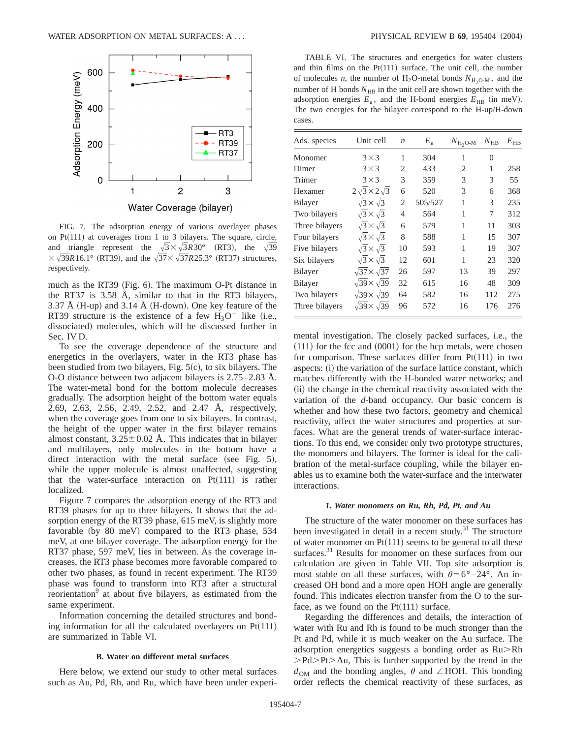

FIG. 7. The adsorption energy of various overlayer phases on Pt $(111)$  at coverages from 1 to 3 bilayers. The square, circle, and triangle represent the  $\sqrt{3} \times \sqrt{3}R30^{\circ}$  (RT3), the  $\sqrt{39}$  $\times \sqrt{39}R16.1^\circ$  (RT39), and the  $\sqrt{37}\times \sqrt{37}R25.3^\circ$  (RT37) structures, respectively.

much as the RT39  $(Fig. 6)$ . The maximum O-Pt distance in the RT37 is 3.58 Å, similar to that in the RT3 bilayers, 3.37 Å  $(H-up)$  and 3.14 Å  $(H-down)$ . One key feature of the RT39 structure is the existence of a few  $H_3O^+$  like (i.e., dissociated) molecules, which will be discussed further in Sec. IV D.

To see the coverage dependence of the structure and energetics in the overlayers, water in the RT3 phase has been studied from two bilayers, Fig.  $5(c)$ , to six bilayers. The O-O distance between two adjacent bilayers is 2.75–2.83 Å. The water-metal bond for the bottom molecule decreases gradually. The adsorption height of the bottom water equals 2.69, 2.63, 2.56, 2.49, 2.52, and 2.47 Å, respectively, when the coverage goes from one to six bilayers. In contrast, the height of the upper water in the first bilayer remains almost constant,  $3.25 \pm 0.02$  Å. This indicates that in bilayer and multilayers, only molecules in the bottom have a direct interaction with the metal surface (see Fig. 5), while the upper molecule is almost unaffected, suggesting that the water-surface interaction on  $Pt(111)$  is rather localized.

Figure 7 compares the adsorption energy of the RT3 and RT39 phases for up to three bilayers. It shows that the adsorption energy of the RT39 phase, 615 meV, is slightly more favorable (by  $80 \text{ meV}$ ) compared to the RT3 phase, 534 meV, at one bilayer coverage. The adsorption energy for the RT37 phase, 597 meV, lies in between. As the coverage increases, the RT3 phase becomes more favorable compared to other two phases, as found in recent experiment. The RT39 phase was found to transform into RT3 after a structural reorientation<sup>9</sup> at about five bilayers, as estimated from the same experiment.

Information concerning the detailed structures and bonding information for all the calculated overlayers on  $Pt(111)$ are summarized in Table VI.

# **B. Water on different metal surfaces**

Here below, we extend our study to other metal surfaces such as Au, Pd, Rh, and Ru, which have been under experi-

TABLE VI. The structures and energetics for water clusters and thin films on the  $Pt(111)$  surface. The unit cell, the number of molecules *n*, the number of  $H_2O$ -metal bonds  $N_{H_2O-M}$ , and the number of H bonds  $N_{\text{HB}}$  in the unit cell are shown together with the adsorption energies  $E_a$ , and the H-bond energies  $E_{HB}$  (in meV). The two energies for the bilayer correspond to the H-up/H-down cases.

| Ads. species   | Unit cell                    | $\boldsymbol{n}$ | $E_{\rm a}$ | $N_{\text{H}_2\text{O}-\text{M}}$ | $N_{\rm HB}$ | $E\rm_{HB}$ |
|----------------|------------------------------|------------------|-------------|-----------------------------------|--------------|-------------|
| Monomer        | $3\times3$                   | 1                | 304         | 1                                 | $\theta$     |             |
| Dimer          | $3\times3$                   | 2                | 433         | 2                                 | 1            | 258         |
| Trimer         | $3\times3$                   | 3                | 359         | 3                                 | 3            | 55          |
| Hexamer        | $2\sqrt{3}\times 2\sqrt{3}$  | 6                | 520         | 3                                 | 6            | 368         |
| Bilayer        | $\sqrt{3} \times \sqrt{3}$   | $\overline{c}$   | 505/527     | 1                                 | 3            | 235         |
| Two bilayers   | $\sqrt{3} \times \sqrt{3}$   | $\overline{4}$   | 564         | 1                                 | 7            | 312         |
| Three bilayers | $\sqrt{3} \times \sqrt{3}$   | 6                | 579         | 1                                 | 11           | 303         |
| Four bilayers  | $\sqrt{3} \times \sqrt{3}$   | 8                | 588         | 1                                 | 15           | 307         |
| Five bilayers  | $\sqrt{3} \times \sqrt{3}$   | 10               | 593         | 1                                 | 19           | 307         |
| Six bilayers   | $\sqrt{3} \times \sqrt{3}$   | 12               | 601         | 1                                 | 23           | 320         |
| Bilayer        | $\sqrt{37} \times \sqrt{37}$ | 26               | 597         | 13                                | 39           | 297         |
| Bilayer        | $\sqrt{39} \times \sqrt{39}$ | 32               | 615         | 16                                | 48           | 309         |
| Two bilayers   | $\sqrt{39} \times \sqrt{39}$ | 64               | 582         | 16                                | 112          | 275         |
| Three bilayers | $\sqrt{39}\times\sqrt{39}$   | 96               | 572         | 16                                | 176          | 276         |

mental investigation. The closely packed surfaces, i.e., the  $(111)$  for the fcc and  $(0001)$  for the hcp metals, were chosen for comparison. These surfaces differ from  $Pt(111)$  in two aspects: (i) the variation of the surface lattice constant, which matches differently with the H-bonded water networks; and (ii) the change in the chemical reactivity associated with the variation of the *d*-band occupancy. Our basic concern is whether and how these two factors, geometry and chemical reactivity, affect the water structures and properties at surfaces. What are the general trends of water-surface interactions. To this end, we consider only two prototype structures, the monomers and bilayers. The former is ideal for the calibration of the metal-surface coupling, while the bilayer enables us to examine both the water-surface and the interwater interactions.

#### *1. Water monomers on Ru, Rh, Pd, Pt, and Au*

The structure of the water monomer on these surfaces has been investigated in detail in a recent study.<sup>31</sup> The structure of water monomer on  $Pt(111)$  seems to be general to all these surfaces.<sup>31</sup> Results for monomer on these surfaces from our calculation are given in Table VII. Top site adsorption is most stable on all these surfaces, with  $\theta = 6^{\circ} - 24^{\circ}$ . An increased OH bond and a more open HOH angle are generally found. This indicates electron transfer from the O to the surface, as we found on the  $Pt(111)$  surface.

Regarding the differences and details, the interaction of water with Ru and Rh is found to be much stronger than the Pt and Pd, while it is much weaker on the Au surface. The adsorption energetics suggests a bonding order as  $Ru > Rh$  $>PdPt$ Au, This is further supported by the trend in the  $d_{OM}$  and the bonding angles,  $\theta$  and  $\angle$  HOH. This bonding order reflects the chemical reactivity of these surfaces, as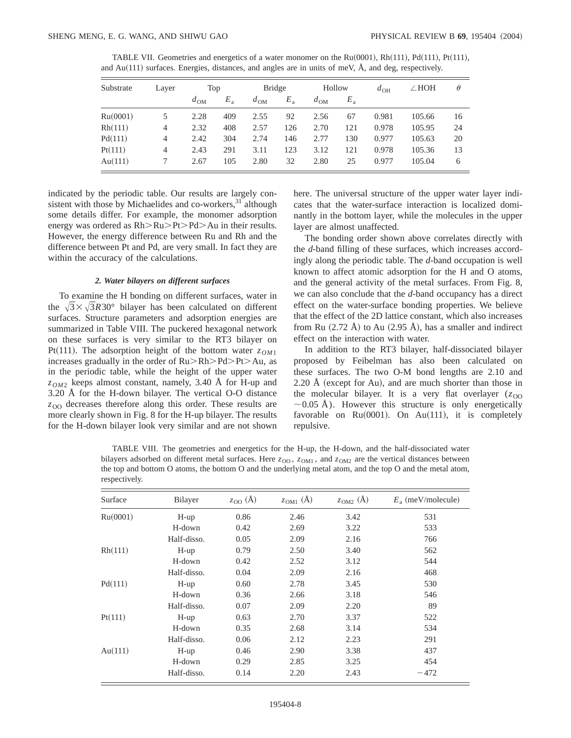TABLE VII. Geometries and energetics of a water monomer on the  $Ru(0001)$ ,  $Rh(111)$ ,  $Pd(111)$ ,  $Pt(111)$ , and  $Au(111)$  surfaces. Energies, distances, and angles are in units of meV,  $\AA$ , and deg, respectively.

| Substrate  | Layer | Top      |             | Bridge   |             | Hollow   |             | $d_{\text{OH}}$ | $\angle$ HOH | $\theta$ |
|------------|-------|----------|-------------|----------|-------------|----------|-------------|-----------------|--------------|----------|
|            |       | $d_{OM}$ | $E_{\rm a}$ | $d_{OM}$ | $E_{\rm a}$ | $d_{OM}$ | $E_{\rm a}$ |                 |              |          |
| Ru(0001)   | 5     | 2.28     | 409         | 2.55     | 92          | 2.56     | 67          | 0.981           | 105.66       | 16       |
| Rh(111)    | 4     | 2.32     | 408         | 2.57     | 126         | 2.70     | 121         | 0.978           | 105.95       | 24       |
| Pd(111)    | 4     | 2.42     | 304         | 2.74     | 146         | 2.77     | 130         | 0.977           | 105.63       | 20       |
| Pt(111)    | 4     | 2.43     | 291         | 3.11     | 123         | 3.12     | 121         | 0.978           | 105.36       | 13       |
| Au $(111)$ |       | 2.67     | 105         | 2.80     | 32          | 2.80     | 25          | 0.977           | 105.04       | 6        |

indicated by the periodic table. Our results are largely consistent with those by Michaelides and co-workers, $31$  although some details differ. For example, the monomer adsorption energy was ordered as  $Rh > Ru > Pt > Pd > Au$  in their results. However, the energy difference between Ru and Rh and the difference between Pt and Pd, are very small. In fact they are within the accuracy of the calculations.

# *2. Water bilayers on different surfaces*

To examine the H bonding on different surfaces, water in the  $\sqrt{3} \times \sqrt{3}R30^\circ$  bilayer has been calculated on different surfaces. Structure parameters and adsorption energies are summarized in Table VIII. The puckered hexagonal network on these surfaces is very similar to the RT3 bilayer on Pt<sup> $(111)$ </sup>. The adsorption height of the bottom water  $z_{OM1}$ increases gradually in the order of  $Ru > Rh > Pd > Pt > Au$ , as in the periodic table, while the height of the upper water  $z_{OM2}$  keeps almost constant, namely, 3.40 Å for H-up and 3.20 Å for the H-down bilayer. The vertical O-O distance  $z_{00}$  decreases therefore along this order. These results are more clearly shown in Fig. 8 for the H-up bilayer. The results for the H-down bilayer look very similar and are not shown here. The universal structure of the upper water layer indicates that the water-surface interaction is localized dominantly in the bottom layer, while the molecules in the upper layer are almost unaffected.

The bonding order shown above correlates directly with the *d*-band filling of these surfaces, which increases accordingly along the periodic table. The *d*-band occupation is well known to affect atomic adsorption for the H and O atoms, and the general activity of the metal surfaces. From Fig. 8, we can also conclude that the *d*-band occupancy has a direct effect on the water-surface bonding properties. We believe that the effect of the 2D lattice constant, which also increases from Ru  $(2.72 \text{ Å})$  to Au  $(2.95 \text{ Å})$ , has a smaller and indirect effect on the interaction with water.

In addition to the RT3 bilayer, half-dissociated bilayer proposed by Feibelman has also been calculated on these surfaces. The two O-M bond lengths are 2.10 and  $2.20 \text{ Å}$  (except for Au), and are much shorter than those in the molecular bilayer. It is a very flat overlayer  $(z_{00})$  $\sim$  0.05 Å). However this structure is only energetically favorable on  $Ru(0001)$ . On  $Au(111)$ , it is completely repulsive.

TABLE VIII. The geometries and energetics for the H-up, the H-down, and the half-dissociated water bilayers adsorbed on different metal surfaces. Here  $z_{OO}$ ,  $z_{OM1}$ , and  $z_{OM2}$  are the vertical distances between the top and bottom O atoms, the bottom O and the underlying metal atom, and the top O and the metal atom, respectively.

| Surface  | Bilayer     | $z_{OO}(\AA)$ | $z_{OM1}$ (Å) | $z_{OM2}$ (Å) | $E_a$ (meV/molecule) |
|----------|-------------|---------------|---------------|---------------|----------------------|
| Ru(0001) | $H-up$      | 0.86          | 2.46          | 3.42          | 531                  |
|          | H-down      | 0.42          | 2.69          | 3.22          | 533                  |
|          | Half-disso. | 0.05          | 2.09          | 2.16          | 766                  |
| Rh(111)  | $H-up$      | 0.79          | 2.50          | 3.40          | 562                  |
|          | H-down      | 0.42          | 2.52          | 3.12          | 544                  |
|          | Half-disso. | 0.04          | 2.09          | 2.16          | 468                  |
| Pd(111)  | $H$ -up     | 0.60          | 2.78          | 3.45          | 530                  |
|          | H-down      | 0.36          | 2.66          | 3.18          | 546                  |
|          | Half-disso. | 0.07          | 2.09          | 2.20          | 89                   |
| Pt(111)  | $H-up$      | 0.63          | 2.70          | 3.37          | 522                  |
|          | H-down      | 0.35          | 2.68          | 3.14          | 534                  |
|          | Half-disso. | 0.06          | 2.12          | 2.23          | 291                  |
| Au(111)  | $H-up$      | 0.46          | 2.90          | 3.38          | 437                  |
|          | H-down      | 0.29          | 2.85          | 3.25          | 454                  |
|          | Half-disso. | 0.14          | 2.20          | 2.43          | $-472$               |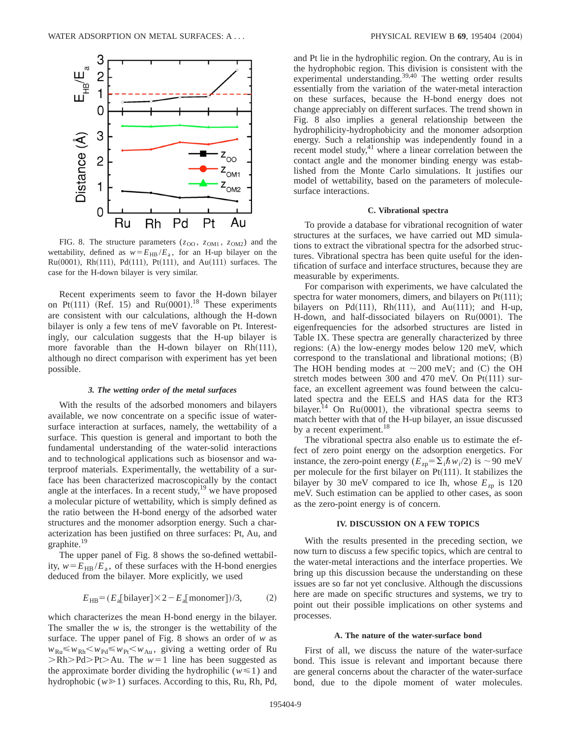

FIG. 8. The structure parameters ( $z_{OO}$ ,  $z_{OM1}$ ,  $z_{OM2}$ ) and the wettability, defined as  $w = E_{HR}/E_a$ , for an H-up bilayer on the Ru(0001), Rh(111), Pd(111), Pt(111), and Au(111) surfaces. The case for the H-down bilayer is very similar.

Recent experiments seem to favor the H-down bilayer on Pt $(111)$  (Ref. 15) and Ru $(0001)$ .<sup>18</sup> These experiments are consistent with our calculations, although the H-down bilayer is only a few tens of meV favorable on Pt. Interestingly, our calculation suggests that the H-up bilayer is more favorable than the H-down bilayer on  $Rh(111)$ , although no direct comparison with experiment has yet been possible.

### *3. The wetting order of the metal surfaces*

With the results of the adsorbed monomers and bilayers available, we now concentrate on a specific issue of watersurface interaction at surfaces, namely, the wettability of a surface. This question is general and important to both the fundamental understanding of the water-solid interactions and to technological applications such as biosensor and waterproof materials. Experimentally, the wettability of a surface has been characterized macroscopically by the contact angle at the interfaces. In a recent study, $19$  we have proposed a molecular picture of wettability, which is simply defined as the ratio between the H-bond energy of the adsorbed water structures and the monomer adsorption energy. Such a characterization has been justified on three surfaces: Pt, Au, and graphite.<sup>19</sup>

The upper panel of Fig. 8 shows the so-defined wettability,  $w = E_{HB}/E_a$ , of these surfaces with the H-bond energies deduced from the bilayer. More explicitly, we used

$$
E_{\rm HB} = (E_{\rm a}[\text{bilayer}] \times 2 - E_{\rm a}[\text{monomer}])/3, \tag{2}
$$

which characterizes the mean H-bond energy in the bilayer. The smaller the *w* is, the stronger is the wettability of the surface. The upper panel of Fig. 8 shows an order of *w* as  $w_{Ru} \leq w_{Rh} \leq w_{Pd} \leq w_{Pt} \leq w_{Au}$ , giving a wetting order of Ru  $>Rh$ >Pd>Pt>Au. The  $w=1$  line has been suggested as the approximate border dividing the hydrophilic ( $w \le 1$ ) and hydrophobic (*w*@1) surfaces. According to this, Ru, Rh, Pd,

and Pt lie in the hydrophilic region. On the contrary, Au is in the hydrophobic region. This division is consistent with the experimental understanding.<sup>39,40</sup> The wetting order results essentially from the variation of the water-metal interaction on these surfaces, because the H-bond energy does not change appreciably on different surfaces. The trend shown in Fig. 8 also implies a general relationship between the hydrophilicity-hydrophobicity and the monomer adsorption energy. Such a relationship was independently found in a recent model study, $41$  where a linear correlation between the contact angle and the monomer binding energy was established from the Monte Carlo simulations. It justifies our model of wettability, based on the parameters of moleculesurface interactions.

### **C. Vibrational spectra**

To provide a database for vibrational recognition of water structures at the surfaces, we have carried out MD simulations to extract the vibrational spectra for the adsorbed structures. Vibrational spectra has been quite useful for the identification of surface and interface structures, because they are measurable by experiments.

For comparison with experiments, we have calculated the spectra for water monomers, dimers, and bilayers on  $Pt(111);$ bilayers on Pd $(111)$ , Rh $(111)$ , and Au $(111)$ ; and H-up, H-down, and half-dissociated bilayers on  $Ru(0001)$ . The eigenfrequencies for the adsorbed structures are listed in Table IX. These spectra are generally characterized by three regions:  $(A)$  the low-energy modes below 120 meV, which correspond to the translational and librational motions;  $(B)$ The HOH bending modes at  $\sim$  200 meV; and (C) the OH stretch modes between 300 and 470 meV. On  $Pt(111)$  surface, an excellent agreement was found between the calculated spectra and the EELS and HAS data for the RT3 bilayer.<sup>14</sup> On Ru $(0001)$ , the vibrational spectra seems to match better with that of the H-up bilayer, an issue discussed by a recent experiment.<sup>18</sup>

The vibrational spectra also enable us to estimate the effect of zero point energy on the adsorption energetics. For instance, the zero-point energy ( $E_{z0} = \sum_i \hbar w_i/2$ ) is  $\sim 90$  meV per molecule for the first bilayer on  $Pt(111)$ . It stabilizes the bilayer by 30 meV compared to ice Ih, whose  $E_{z_p}$  is 120 meV. Such estimation can be applied to other cases, as soon as the zero-point energy is of concern.

# **IV. DISCUSSION ON A FEW TOPICS**

With the results presented in the preceding section, we now turn to discuss a few specific topics, which are central to the water-metal interactions and the interface properties. We bring up this discussion because the understanding on these issues are so far not yet conclusive. Although the discussions here are made on specific structures and systems, we try to point out their possible implications on other systems and processes.

## **A. The nature of the water-surface bond**

First of all, we discuss the nature of the water-surface bond. This issue is relevant and important because there are general concerns about the character of the water-surface bond, due to the dipole moment of water molecules.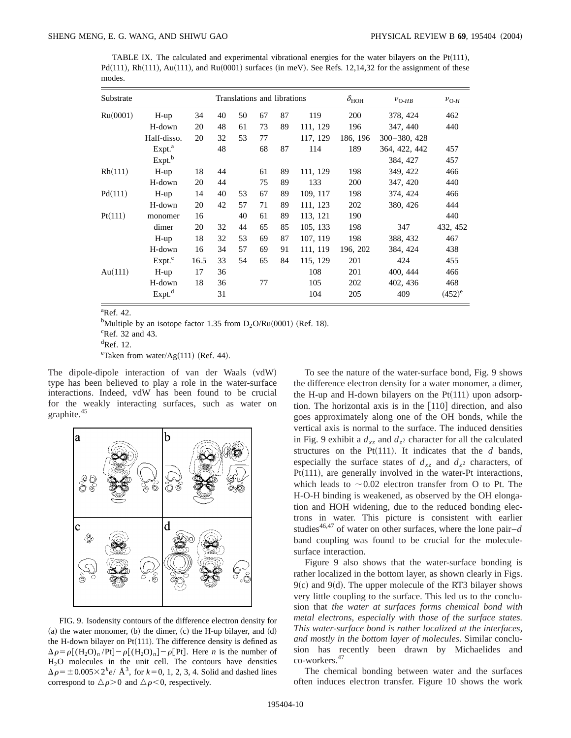TABLE IX. The calculated and experimental vibrational energies for the water bilayers on the  $Pt(111)$ ,  $Pd(111)$ , Rh $(111)$ , Au $(111)$ , and Ru $(0001)$  surfaces (in meV). See Refs. 12,14,32 for the assignment of these modes.

| Substrate  |                    |      | Translations and librations |    |    |    |          | $\delta_{\rm HOH}$ | $v_{O-HB}$       | $v_{O-H}$ |
|------------|--------------------|------|-----------------------------|----|----|----|----------|--------------------|------------------|-----------|
| Ru(0001)   | $H-up$             | 34   | 40                          | 50 | 67 | 87 | 119      | 200                | 378, 424         | 462       |
|            | H-down             | 20   | 48                          | 61 | 73 | 89 | 111, 129 | 196                | 347, 440         | 440       |
|            | Half-disso.        | 20   | 32                          | 53 | 77 |    | 117, 129 | 186, 196           | $300 - 380, 428$ |           |
|            | Expt. <sup>a</sup> |      | 48                          |    | 68 | 87 | 114      | 189                | 364, 422, 442    | 457       |
|            | Expt. <sup>b</sup> |      |                             |    |    |    |          |                    | 384, 427         | 457       |
| Rh(111)    | $H-up$             | 18   | 44                          |    | 61 | 89 | 111, 129 | 198                | 349, 422         | 466       |
|            | H-down             | 20   | 44                          |    | 75 | 89 | 133      | 200                | 347, 420         | 440       |
| Pd(111)    | $H-up$             | 14   | 40                          | 53 | 67 | 89 | 109, 117 | 198                | 374, 424         | 466       |
|            | H-down             | 20   | 42                          | 57 | 71 | 89 | 111, 123 | 202                | 380, 426         | 444       |
| Pt(111)    | monomer            | 16   |                             | 40 | 61 | 89 | 113, 121 | 190                |                  | 440       |
|            | dimer              | 20   | 32                          | 44 | 65 | 85 | 105, 133 | 198                | 347              | 432, 452  |
|            | $H-up$             | 18   | 32                          | 53 | 69 | 87 | 107, 119 | 198                | 388, 432         | 467       |
|            | H-down             | 16   | 34                          | 57 | 69 | 91 | 111, 119 | 196, 202           | 384, 424         | 438       |
|            | Expt. <sup>c</sup> | 16.5 | 33                          | 54 | 65 | 84 | 115, 129 | 201                | 424              | 455       |
| Au $(111)$ | $H-up$             | 17   | 36                          |    |    |    | 108      | 201                | 400, 444         | 466       |
|            | H-down             | 18   | 36                          |    | 77 |    | 105      | 202                | 402, 436         | 468       |
|            | Expt. <sup>d</sup> |      | 31                          |    |    |    | 104      | 205                | 409              | $(452)^e$ |

 $Ref. 42$ .

<sup>b</sup>Multiple by an isotope factor 1.35 from  $D_2O/Ru(0001)$  (Ref. 18).<br><sup>c</sup>Ref. 32 and 43

Ref. 32 and 43.

 ${}^{\text{d}}$ Ref. 12.

 ${}^{\text{e}}$ Taken from water/Ag(111) (Ref. 44).

The dipole-dipole interaction of van der Waals  $(vdW)$ type has been believed to play a role in the water-surface interactions. Indeed, vdW has been found to be crucial for the weakly interacting surfaces, such as water on graphite.45



FIG. 9. Isodensity contours of the difference electron density for  $(a)$  the water monomer,  $(b)$  the dimer,  $(c)$  the H-up bilayer, and  $(d)$ the H-down bilayer on  $Pt(111)$ . The difference density is defined as  $\Delta \rho = \rho \left[ (H_2O)_n / P_t \right] - \rho \left[ (H_2O)_n \right] - \rho \left[ Pt \right]$ . Here *n* is the number of H2O molecules in the unit cell. The contours have densities  $\Delta \rho = \pm 0.005 \times 2^{k} e/$  Å<sup>3</sup>, for  $k = 0, 1, 2, 3, 4$ . Solid and dashed lines correspond to  $\Delta \rho > 0$  and  $\Delta \rho < 0$ , respectively.

To see the nature of the water-surface bond, Fig. 9 shows the difference electron density for a water monomer, a dimer, the H-up and H-down bilayers on the  $Pt(111)$  upon adsorption. The horizontal axis is in the  $[110]$  direction, and also goes approximately along one of the OH bonds, while the vertical axis is normal to the surface. The induced densities in Fig. 9 exhibit a  $d_{xz}$  and  $d_{z^2}$  character for all the calculated structures on the Pt $(111)$ . It indicates that the *d* bands, especially the surface states of  $d_{xz}$  and  $d_{z}$  characters, of  $Pt(111)$ , are generally involved in the water-Pt interactions, which leads to  $\sim$  0.02 electron transfer from O to Pt. The H-O-H binding is weakened, as observed by the OH elongation and HOH widening, due to the reduced bonding electrons in water. This picture is consistent with earlier studies<sup>46,47</sup> of water on other surfaces, where the lone pair– $d$ band coupling was found to be crucial for the moleculesurface interaction.

Figure 9 also shows that the water-surface bonding is rather localized in the bottom layer, as shown clearly in Figs.  $9(c)$  and  $9(d)$ . The upper molecule of the RT3 bilayer shows very little coupling to the surface. This led us to the conclusion that *the water at surfaces forms chemical bond with metal electrons, especially with those of the surface states. This water-surface bond is rather localized at the interfaces, and mostly in the bottom layer of molecules*. Similar conclusion has recently been drawn by Michaelides and co-workers.47

The chemical bonding between water and the surfaces often induces electron transfer. Figure 10 shows the work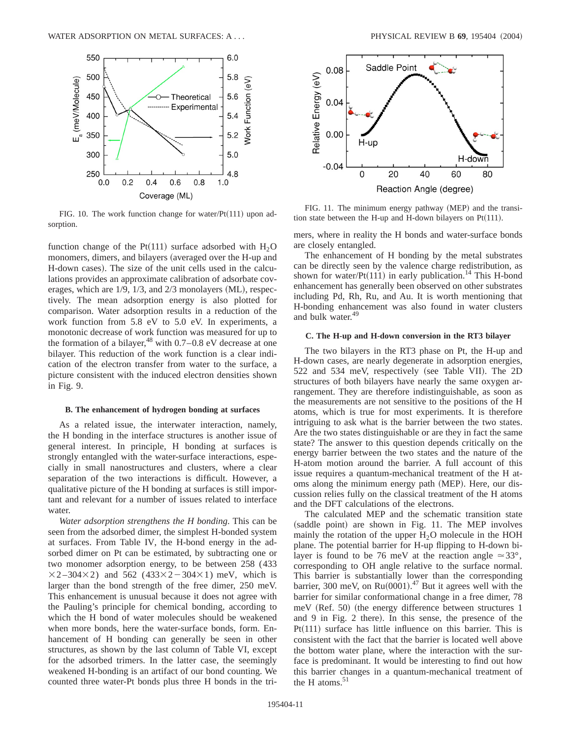

FIG. 10. The work function change for water/ $Pt(111)$  upon adsorption.

function change of the Pt(111) surface adsorbed with H<sub>2</sub>O monomers, dimers, and bilayers (averaged over the H-up and H-down cases). The size of the unit cells used in the calculations provides an approximate calibration of adsorbate coverages, which are  $1/9$ ,  $1/3$ , and  $2/3$  monolayers (ML), respectively. The mean adsorption energy is also plotted for comparison. Water adsorption results in a reduction of the work function from 5.8 eV to 5.0 eV. In experiments, a monotonic decrease of work function was measured for up to the formation of a bilayer,  $48$  with 0.7–0.8 eV decrease at one bilayer. This reduction of the work function is a clear indication of the electron transfer from water to the surface, a picture consistent with the induced electron densities shown in Fig. 9.

#### **B. The enhancement of hydrogen bonding at surfaces**

As a related issue, the interwater interaction, namely, the H bonding in the interface structures is another issue of general interest. In principle, H bonding at surfaces is strongly entangled with the water-surface interactions, especially in small nanostructures and clusters, where a clear separation of the two interactions is difficult. However, a qualitative picture of the H bonding at surfaces is still important and relevant for a number of issues related to interface water.

*Water adsorption strengthens the H bonding*. This can be seen from the adsorbed dimer, the simplest H-bonded system at surfaces. From Table IV, the H-bond energy in the adsorbed dimer on Pt can be estimated, by subtracting one or two monomer adsorption energy, to be between 258 (433  $\times$ 2-304 $\times$ 2) and 562 (433 $\times$ 2-304 $\times$ 1) meV, which is larger than the bond strength of the free dimer, 250 meV. This enhancement is unusual because it does not agree with the Pauling's principle for chemical bonding, according to which the H bond of water molecules should be weakened when more bonds, here the water-surface bonds, form. Enhancement of H bonding can generally be seen in other structures, as shown by the last column of Table VI, except for the adsorbed trimers. In the latter case, the seemingly weakened H-bonding is an artifact of our bond counting. We counted three water-Pt bonds plus three H bonds in the tri-



FIG. 11. The minimum energy pathway (MEP) and the transition state between the H-up and H-down bilayers on  $Pt(111)$ .

mers, where in reality the H bonds and water-surface bonds are closely entangled.

The enhancement of H bonding by the metal substrates can be directly seen by the valence charge redistribution, as shown for water/Pt $(111)$  in early publication.<sup>14</sup> This H-bond enhancement has generally been observed on other substrates including Pd, Rh, Ru, and Au. It is worth mentioning that H-bonding enhancement was also found in water clusters and bulk water.<sup>49</sup>

#### **C. The H-up and H-down conversion in the RT3 bilayer**

The two bilayers in the RT3 phase on Pt, the H-up and H-down cases, are nearly degenerate in adsorption energies, 522 and 534 meV, respectively (see Table VII). The 2D structures of both bilayers have nearly the same oxygen arrangement. They are therefore indistinguishable, as soon as the measurements are not sensitive to the positions of the H atoms, which is true for most experiments. It is therefore intriguing to ask what is the barrier between the two states. Are the two states distinguishable or are they in fact the same state? The answer to this question depends critically on the energy barrier between the two states and the nature of the H-atom motion around the barrier. A full account of this issue requires a quantum-mechanical treatment of the H atoms along the minimum energy path (MEP). Here, our discussion relies fully on the classical treatment of the H atoms and the DFT calculations of the electrons.

The calculated MEP and the schematic transition state (saddle point) are shown in Fig. 11. The MEP involves mainly the rotation of the upper  $H_2O$  molecule in the HOH plane. The potential barrier for H-up flipping to H-down bilayer is found to be 76 meV at the reaction angle  $\approx 33^{\circ}$ , corresponding to OH angle relative to the surface normal. This barrier is substantially lower than the corresponding barrier, 300 meV, on  $Ru(0001)$ .<sup>47</sup> But it agrees well with the barrier for similar conformational change in a free dimer, 78 meV  $(Ref. 50)$  (the energy difference between structures 1 and  $9$  in Fig. 2 there). In this sense, the presence of the  $Pt(111)$  surface has little influence on this barrier. This is consistent with the fact that the barrier is located well above the bottom water plane, where the interaction with the surface is predominant. It would be interesting to find out how this barrier changes in a quantum-mechanical treatment of the H atoms. $51$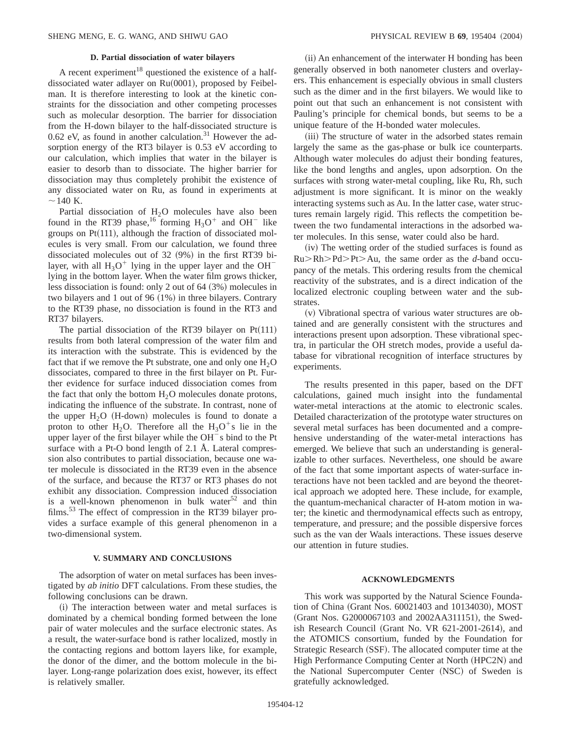A recent experiment<sup>18</sup> questioned the existence of a halfdissociated water adlayer on  $Ru(0001)$ , proposed by Feibelman. It is therefore interesting to look at the kinetic constraints for the dissociation and other competing processes such as molecular desorption. The barrier for dissociation from the H-down bilayer to the half-dissociated structure is  $0.62$  eV, as found in another calculation.<sup>31</sup> However the adsorption energy of the RT3 bilayer is 0.53 eV according to our calculation, which implies that water in the bilayer is easier to desorb than to dissociate. The higher barrier for dissociation may thus completely prohibit the existence of any dissociated water on Ru, as found in experiments at  $\sim$ 140 K.

Partial dissociation of  $H_2O$  molecules have also been found in the RT39 phase,<sup>16</sup> forming  $H_3O^+$  and OH<sup>-</sup> like groups on  $Pt(111)$ , although the fraction of dissociated molecules is very small. From our calculation, we found three dissociated molecules out of 32  $(9%)$  in the first RT39 bilayer, with all  $H_3O^+$  lying in the upper layer and the OH<sup>-</sup> lying in the bottom layer. When the water film grows thicker, less dissociation is found: only 2 out of  $64 (3%)$  molecules in two bilayers and 1 out of 96  $(1%)$  in three bilayers. Contrary to the RT39 phase, no dissociation is found in the RT3 and RT37 bilayers.

The partial dissociation of the RT39 bilayer on  $Pt(111)$ results from both lateral compression of the water film and its interaction with the substrate. This is evidenced by the fact that if we remove the Pt substrate, one and only one  $H_2O$ dissociates, compared to three in the first bilayer on Pt. Further evidence for surface induced dissociation comes from the fact that only the bottom  $H_2O$  molecules donate protons, indicating the influence of the substrate. In contrast, none of the upper  $H_2O$  (H-down) molecules is found to donate a proton to other H<sub>2</sub>O. Therefore all the H<sub>3</sub>O<sup>+</sup>s lie in the upper layer of the first bilayer while the  $OH^-s$  bind to the Pt surface with a Pt-O bond length of 2.1 Å. Lateral compression also contributes to partial dissociation, because one water molecule is dissociated in the RT39 even in the absence of the surface, and because the RT37 or RT3 phases do not exhibit any dissociation. Compression induced dissociation is a well-known phenomenon in bulk water<sup>52</sup> and thin films.53 The effect of compression in the RT39 bilayer provides a surface example of this general phenomenon in a two-dimensional system.

# **V. SUMMARY AND CONCLUSIONS**

The adsorption of water on metal surfaces has been investigated by *ab initio* DFT calculations. From these studies, the following conclusions can be drawn.

(i) The interaction between water and metal surfaces is dominated by a chemical bonding formed between the lone pair of water molecules and the surface electronic states. As a result, the water-surface bond is rather localized, mostly in the contacting regions and bottom layers like, for example, the donor of the dimer, and the bottom molecule in the bilayer. Long-range polarization does exist, however, its effect is relatively smaller.

(ii) An enhancement of the interwater H bonding has been generally observed in both nanometer clusters and overlayers. This enhancement is especially obvious in small clusters such as the dimer and in the first bilayers. We would like to point out that such an enhancement is not consistent with Pauling's principle for chemical bonds, but seems to be a unique feature of the H-bonded water molecules.

(iii) The structure of water in the adsorbed states remain largely the same as the gas-phase or bulk ice counterparts. Although water molecules do adjust their bonding features, like the bond lengths and angles, upon adsorption. On the surfaces with strong water-metal coupling, like Ru, Rh, such adjustment is more significant. It is minor on the weakly interacting systems such as Au. In the latter case, water structures remain largely rigid. This reflects the competition between the two fundamental interactions in the adsorbed water molecules. In this sense, water could also be hard.

(iv) The wetting order of the studied surfaces is found as  $Ru > Rh > Pd > Pt > Au$ , the same order as the *d*-band occupancy of the metals. This ordering results from the chemical reactivity of the substrates, and is a direct indication of the localized electronic coupling between water and the substrates.

(v) Vibrational spectra of various water structures are obtained and are generally consistent with the structures and interactions present upon adsorption. These vibrational spectra, in particular the OH stretch modes, provide a useful database for vibrational recognition of interface structures by experiments.

The results presented in this paper, based on the DFT calculations, gained much insight into the fundamental water-metal interactions at the atomic to electronic scales. Detailed characterization of the prototype water structures on several metal surfaces has been documented and a comprehensive understanding of the water-metal interactions has emerged. We believe that such an understanding is generalizable to other surfaces. Nevertheless, one should be aware of the fact that some important aspects of water-surface interactions have not been tackled and are beyond the theoretical approach we adopted here. These include, for example, the quantum-mechanical character of H-atom motion in water; the kinetic and thermodynamical effects such as entropy, temperature, and pressure; and the possible dispersive forces such as the van der Waals interactions. These issues deserve our attention in future studies.

# **ACKNOWLEDGMENTS**

This work was supported by the Natural Science Foundation of China (Grant Nos. 60021403 and 10134030), MOST (Grant Nos. G2000067103 and 2002AA311151), the Swedish Research Council (Grant No. VR 621-2001-2614), and the ATOMICS consortium, funded by the Foundation for Strategic Research (SSF). The allocated computer time at the High Performance Computing Center at North (HPC2N) and the National Supercomputer Center (NSC) of Sweden is gratefully acknowledged.